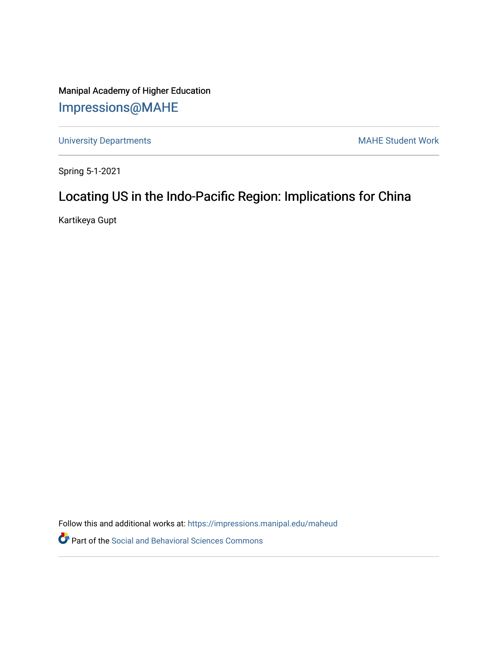Manipal Academy of Higher Education [Impressions@MAHE](https://impressions.manipal.edu/)

[University Departments](https://impressions.manipal.edu/maheud) **MAHE Student Work** 

Spring 5-1-2021

### Locating US in the Indo-Pacific Region: Implications for China

Kartikeya Gupt

Follow this and additional works at: [https://impressions.manipal.edu/maheud](https://impressions.manipal.edu/maheud?utm_source=impressions.manipal.edu%2Fmaheud%2F37&utm_medium=PDF&utm_campaign=PDFCoverPages)

Part of the [Social and Behavioral Sciences Commons](http://network.bepress.com/hgg/discipline/316?utm_source=impressions.manipal.edu%2Fmaheud%2F37&utm_medium=PDF&utm_campaign=PDFCoverPages)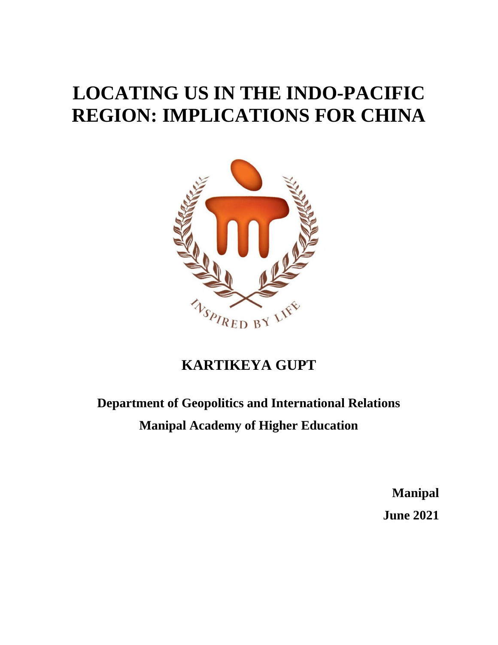# **LOCATING US IN THE INDO-PACIFIC REGION: IMPLICATIONS FOR CHINA**



## **KARTIKEYA GUPT**

# **Department of Geopolitics and International Relations Manipal Academy of Higher Education**

**Manipal June 2021**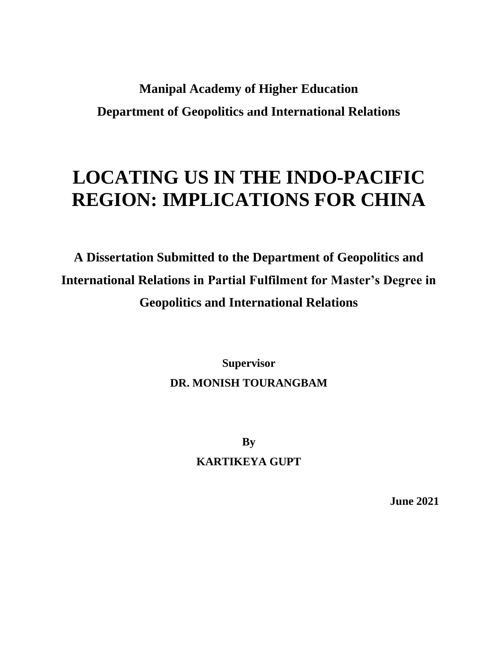# **Manipal Academy of Higher Education Department of Geopolitics and International Relations**

# **LOCATING US IN THE INDO-PACIFIC REGION: IMPLICATIONS FOR CHINA**

**A Dissertation Submitted to the Department of Geopolitics and International Relations in Partial Fulfilment for Master's Degree in Geopolitics and International Relations**

> **Supervisor DR. MONISH TOURANGBAM**

> > **By KARTIKEYA GUPT**

> > > **June 2021**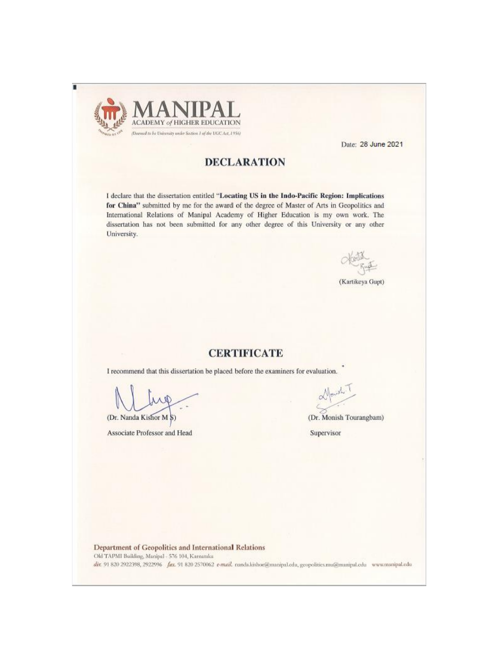

Date: 28 June 2021

#### **DECLARATION**

I declare that the dissertation entitled "Locating US in the Indo-Pacific Region: Implications for China" submitted by me for the award of the degree of Master of Arts in Geopolitics and International Relations of Manipal Academy of Higher Education is my own work. The dissertation has not been submitted for any other degree of this University or any other University.

(Kartikeya Gupt)

#### **CERTIFICATE**

I recommend that this dissertation be placed before the examiners for evaluation.

(Dr. Nanda Kishor M §)

Associate Professor and Head

(Dr. Monish Tourangbam)

Supervisor

Department of Geopolitics and International Relations Old TAPMI Building, Manipal - 576 104, Kamataka dir. 91 820 2922398, 2922996 fax. 91 820 2570062 e-mail. nanda.kishor@manipal.edu, geopolitics.mu@manipal.edu www.manipal.edu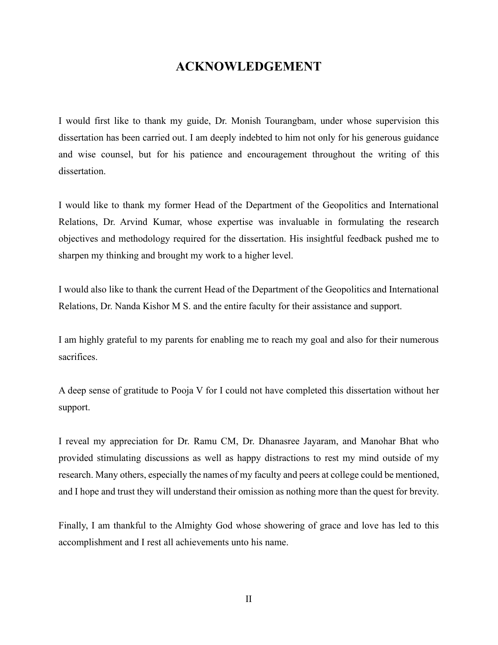#### **ACKNOWLEDGEMENT**

I would first like to thank my guide, Dr. Monish Tourangbam, under whose supervision this dissertation has been carried out. I am deeply indebted to him not only for his generous guidance and wise counsel, but for his patience and encouragement throughout the writing of this dissertation.

I would like to thank my former Head of the Department of the Geopolitics and International Relations, Dr. Arvind Kumar, whose expertise was invaluable in formulating the research objectives and methodology required for the dissertation. His insightful feedback pushed me to sharpen my thinking and brought my work to a higher level.

I would also like to thank the current Head of the Department of the Geopolitics and International Relations, Dr. Nanda Kishor M S. and the entire faculty for their assistance and support.

I am highly grateful to my parents for enabling me to reach my goal and also for their numerous sacrifices.

A deep sense of gratitude to Pooja V for I could not have completed this dissertation without her support.

I reveal my appreciation for Dr. Ramu CM, Dr. Dhanasree Jayaram, and Manohar Bhat who provided stimulating discussions as well as happy distractions to rest my mind outside of my research. Many others, especially the names of my faculty and peers at college could be mentioned, and I hope and trust they will understand their omission as nothing more than the quest for brevity.

Finally, I am thankful to the Almighty God whose showering of grace and love has led to this accomplishment and I rest all achievements unto his name.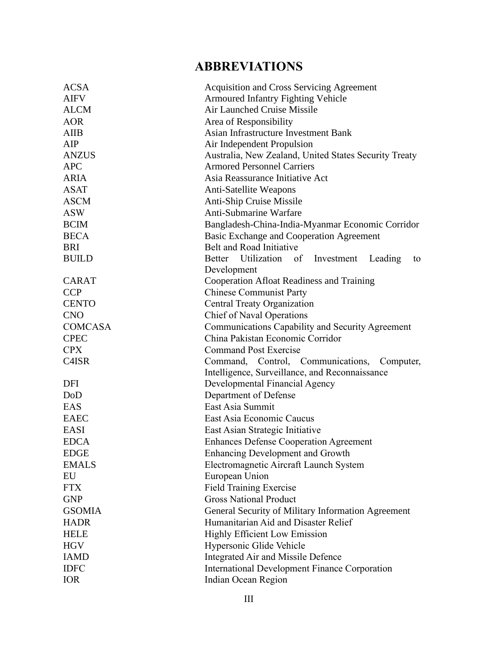### **ABBREVIATIONS**

| <b>ACSA</b>        | <b>Acquisition and Cross Servicing Agreement</b>      |
|--------------------|-------------------------------------------------------|
| <b>AIFV</b>        | <b>Armoured Infantry Fighting Vehicle</b>             |
| <b>ALCM</b>        | <b>Air Launched Cruise Missile</b>                    |
| <b>AOR</b>         | Area of Responsibility                                |
| <b>AIIB</b>        | Asian Infrastructure Investment Bank                  |
| AIP                | Air Independent Propulsion                            |
| <b>ANZUS</b>       | Australia, New Zealand, United States Security Treaty |
| <b>APC</b>         | <b>Armored Personnel Carriers</b>                     |
| <b>ARIA</b>        | Asia Reassurance Initiative Act                       |
| <b>ASAT</b>        | <b>Anti-Satellite Weapons</b>                         |
| <b>ASCM</b>        | Anti-Ship Cruise Missile                              |
| <b>ASW</b>         | <b>Anti-Submarine Warfare</b>                         |
| <b>BCIM</b>        | Bangladesh-China-India-Myanmar Economic Corridor      |
| <b>BECA</b>        | <b>Basic Exchange and Cooperation Agreement</b>       |
| <b>BRI</b>         | Belt and Road Initiative                              |
| <b>BUILD</b>       | Better Utilization of Investment<br>Leading<br>to     |
|                    | Development                                           |
| <b>CARAT</b>       | Cooperation Afloat Readiness and Training             |
| <b>CCP</b>         | <b>Chinese Communist Party</b>                        |
| <b>CENTO</b>       | Central Treaty Organization                           |
| <b>CNO</b>         | <b>Chief of Naval Operations</b>                      |
| <b>COMCASA</b>     | Communications Capability and Security Agreement      |
| <b>CPEC</b>        | China Pakistan Economic Corridor                      |
| <b>CPX</b>         | <b>Command Post Exercise</b>                          |
| C <sub>4</sub> ISR | Command, Control, Communications,<br>Computer,        |
|                    | Intelligence, Surveillance, and Reconnaissance        |
| DFI                | Developmental Financial Agency                        |
| DoD                | Department of Defense                                 |
| EAS                | East Asia Summit                                      |
| <b>EAEC</b>        | East Asia Economic Caucus                             |
| <b>EASI</b>        | East Asian Strategic Initiative                       |
| <b>EDCA</b>        | <b>Enhances Defense Cooperation Agreement</b>         |
| <b>EDGE</b>        | <b>Enhancing Development and Growth</b>               |
| <b>EMALS</b>       | Electromagnetic Aircraft Launch System                |
| EU                 | European Union                                        |
| <b>FTX</b>         | <b>Field Training Exercise</b>                        |
| <b>GNP</b>         | <b>Gross National Product</b>                         |
| <b>GSOMIA</b>      | General Security of Military Information Agreement    |
| <b>HADR</b>        | Humanitarian Aid and Disaster Relief                  |
| <b>HELE</b>        | <b>Highly Efficient Low Emission</b>                  |
| <b>HGV</b>         | Hypersonic Glide Vehicle                              |
| <b>IAMD</b>        | Integrated Air and Missile Defence                    |
| <b>IDFC</b>        | <b>International Development Finance Corporation</b>  |
| <b>IOR</b>         | Indian Ocean Region                                   |
|                    |                                                       |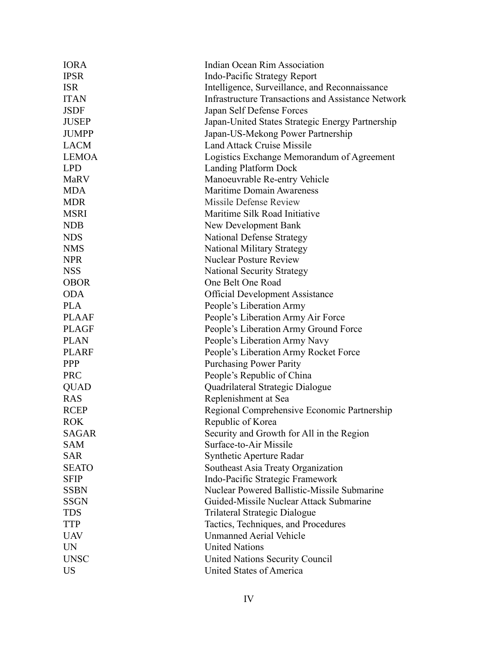| <b>IORA</b>  | Indian Ocean Rim Association                              |
|--------------|-----------------------------------------------------------|
| <b>IPSR</b>  | Indo-Pacific Strategy Report                              |
| <b>ISR</b>   | Intelligence, Surveillance, and Reconnaissance            |
| <b>ITAN</b>  | <b>Infrastructure Transactions and Assistance Network</b> |
| <b>JSDF</b>  | Japan Self Defense Forces                                 |
| <b>JUSEP</b> | Japan-United States Strategic Energy Partnership          |
| <b>JUMPP</b> | Japan-US-Mekong Power Partnership                         |
| <b>LACM</b>  | <b>Land Attack Cruise Missile</b>                         |
| <b>LEMOA</b> | Logistics Exchange Memorandum of Agreement                |
| <b>LPD</b>   | <b>Landing Platform Dock</b>                              |
| <b>MaRV</b>  | Manoeuvrable Re-entry Vehicle                             |
| <b>MDA</b>   | <b>Maritime Domain Awareness</b>                          |
| <b>MDR</b>   | Missile Defense Review                                    |
| <b>MSRI</b>  | Maritime Silk Road Initiative                             |
| <b>NDB</b>   | New Development Bank                                      |
| <b>NDS</b>   | <b>National Defense Strategy</b>                          |
| <b>NMS</b>   | <b>National Military Strategy</b>                         |
| <b>NPR</b>   | <b>Nuclear Posture Review</b>                             |
| <b>NSS</b>   | <b>National Security Strategy</b>                         |
| <b>OBOR</b>  | One Belt One Road                                         |
| <b>ODA</b>   | <b>Official Development Assistance</b>                    |
| <b>PLA</b>   | People's Liberation Army                                  |
| <b>PLAAF</b> | People's Liberation Army Air Force                        |
| <b>PLAGF</b> | People's Liberation Army Ground Force                     |
| <b>PLAN</b>  | People's Liberation Army Navy                             |
| <b>PLARF</b> | People's Liberation Army Rocket Force                     |
| <b>PPP</b>   | <b>Purchasing Power Parity</b>                            |
| <b>PRC</b>   | People's Republic of China                                |
| <b>QUAD</b>  | Quadrilateral Strategic Dialogue                          |
| <b>RAS</b>   | Replenishment at Sea                                      |
| <b>RCEP</b>  | Regional Comprehensive Economic Partnership               |
| <b>ROK</b>   | Republic of Korea                                         |
| <b>SAGAR</b> | Security and Growth for All in the Region                 |
| <b>SAM</b>   | Surface-to-Air Missile                                    |
| <b>SAR</b>   | <b>Synthetic Aperture Radar</b>                           |
| <b>SEATO</b> | Southeast Asia Treaty Organization                        |
| <b>SFIP</b>  | Indo-Pacific Strategic Framework                          |
| <b>SSBN</b>  | Nuclear Powered Ballistic-Missile Submarine               |
| <b>SSGN</b>  | Guided-Missile Nuclear Attack Submarine                   |
| <b>TDS</b>   | Trilateral Strategic Dialogue                             |
| <b>TTP</b>   | Tactics, Techniques, and Procedures                       |
| <b>UAV</b>   | <b>Unmanned Aerial Vehicle</b>                            |
| <b>UN</b>    | <b>United Nations</b>                                     |
| <b>UNSC</b>  | United Nations Security Council                           |
| <b>US</b>    | United States of America                                  |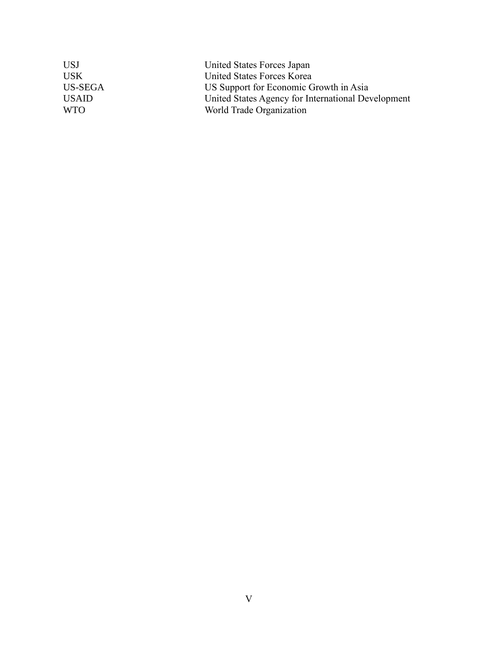| <b>USJ</b>   | United States Forces Japan                         |
|--------------|----------------------------------------------------|
| <b>USK</b>   | United States Forces Korea                         |
| US-SEGA      | US Support for Economic Growth in Asia             |
| <b>USAID</b> | United States Agency for International Development |
| <b>WTO</b>   | World Trade Organization                           |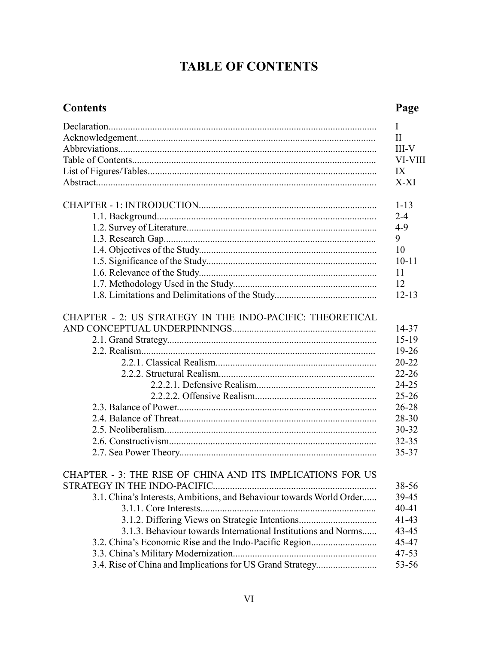## **TABLE OF CONTENTS**

#### **Contents**

### Page

|                                                                      | I            |
|----------------------------------------------------------------------|--------------|
|                                                                      | $\mathbf{I}$ |
|                                                                      | $III-V$      |
|                                                                      | VI-VIII      |
|                                                                      | IX           |
|                                                                      | X-XI         |
|                                                                      | $1 - 13$     |
|                                                                      | $2 - 4$      |
|                                                                      | $4 - 9$      |
|                                                                      | 9            |
|                                                                      | 10           |
|                                                                      | $10 - 11$    |
|                                                                      | 11           |
|                                                                      | 12           |
|                                                                      | $12 - 13$    |
| CHAPTER - 2: US STRATEGY IN THE INDO-PACIFIC: THEORETICAL            |              |
|                                                                      | 14-37        |
|                                                                      | $15-19$      |
|                                                                      | 19-26        |
|                                                                      | $20 - 22$    |
|                                                                      | $22 - 26$    |
|                                                                      | 24-25        |
|                                                                      | $25 - 26$    |
|                                                                      | $26 - 28$    |
|                                                                      | 28-30        |
|                                                                      | 30-32        |
|                                                                      | $32 - 35$    |
|                                                                      | 35-37        |
| CHAPTER - 3: THE RISE OF CHINA AND ITS IMPLICATIONS FOR US           |              |
|                                                                      | 38-56        |
| 3.1. China's Interests, Ambitions, and Behaviour towards World Order | 39-45        |
|                                                                      | $40 - 41$    |
| 3.1.2. Differing Views on Strategic Intentions                       | $41 - 43$    |
| 3.1.3. Behaviour towards International Institutions and Norms        | 43-45        |
| 3.2. China's Economic Rise and the Indo-Pacific Region               | 45-47        |
|                                                                      | $47 - 53$    |
| 3.4. Rise of China and Implications for US Grand Strategy            | 53-56        |
|                                                                      |              |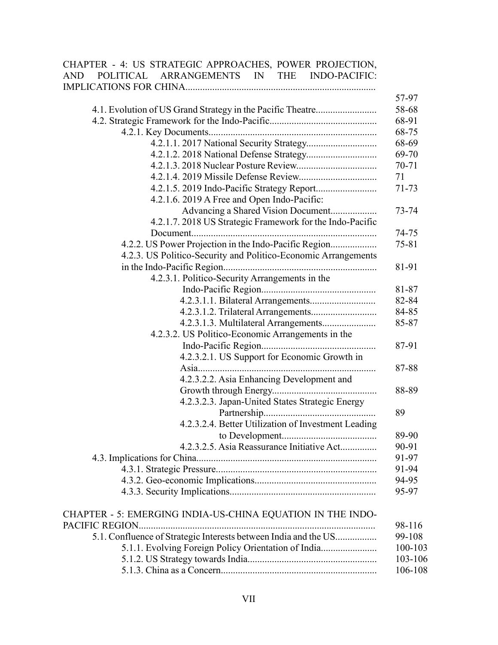| CHAPTER - 4: US STRATEGIC APPROACHES, POWER PROJECTION,         |           |
|-----------------------------------------------------------------|-----------|
| ARRANGEMENTS IN<br><b>POLITICAL</b><br>THE INDO-PACIFIC:<br>AND |           |
|                                                                 |           |
|                                                                 | 57-97     |
| 4.1. Evolution of US Grand Strategy in the Pacific Theatre      | 58-68     |
|                                                                 |           |
|                                                                 |           |
|                                                                 |           |
|                                                                 |           |
|                                                                 |           |
|                                                                 |           |
|                                                                 |           |
|                                                                 | $71 - 73$ |
| 4.2.1.6. 2019 A Free and Open Indo-Pacific:                     |           |
| Advancing a Shared Vision Document                              | 73-74     |
| 4.2.1.7. 2018 US Strategic Framework for the Indo-Pacific       |           |
|                                                                 | 74-75     |
| 4.2.2. US Power Projection in the Indo-Pacific Region           | $75 - 81$ |
| 4.2.3. US Politico-Security and Politico-Economic Arrangements  |           |
|                                                                 | 81-91     |
| 4.2.3.1. Politico-Security Arrangements in the                  |           |
|                                                                 | 81-87     |
|                                                                 |           |
|                                                                 | 84-85     |
| 4.2.3.1.3. Multilateral Arrangements                            | 85-87     |
| 4.2.3.2. US Politico-Economic Arrangements in the               |           |
|                                                                 | 87-91     |
| 4.2.3.2.1. US Support for Economic Growth in                    |           |
|                                                                 | 87-88     |
| 4.2.3.2.2. Asia Enhancing Development and                       |           |
|                                                                 | 88-89     |
| 4.2.3.2.3. Japan-United States Strategic Energy                 |           |
|                                                                 | 89        |
| 4.2.3.2.4. Better Utilization of Investment Leading             |           |
|                                                                 | 89-90     |
| 4.2.3.2.5. Asia Reassurance Initiative Act                      | 90-91     |
|                                                                 | 91-97     |
|                                                                 | 91-94     |
|                                                                 | 94-95     |
|                                                                 |           |
|                                                                 | 95-97     |
|                                                                 |           |
| CHAPTER - 5: EMERGING INDIA-US-CHINA EQUATION IN THE INDO-      |           |
| PACIFIC REGION                                                  | 98-116    |
| 5.1. Confluence of Strategic Interests between India and the US | 99-108    |
| 5.1.1. Evolving Foreign Policy Orientation of India             | 100-103   |
|                                                                 | 103-106   |
|                                                                 | 106-108   |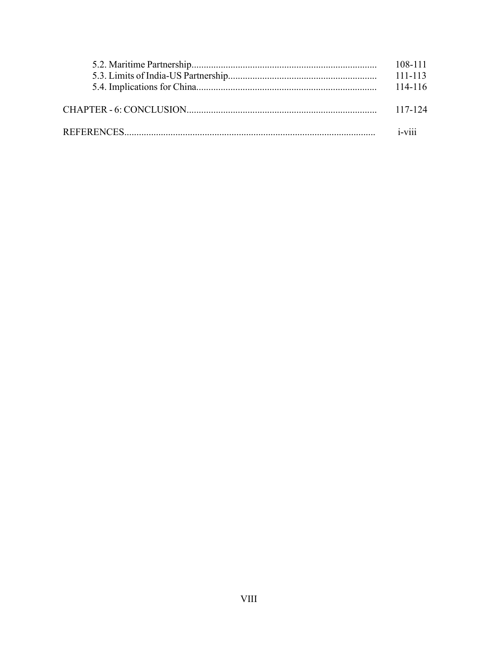|  | 117-124   |
|--|-----------|
|  |           |
|  | $i$ -viii |
|  |           |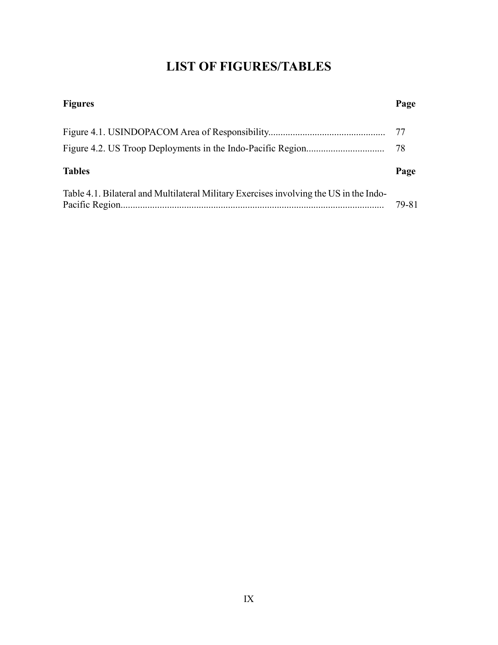### **LIST OF FIGURES/TABLES**

| <b>Figures</b>                                                                         |       |
|----------------------------------------------------------------------------------------|-------|
|                                                                                        |       |
|                                                                                        |       |
| <b>Tables</b>                                                                          | Page  |
| Table 4.1. Bilateral and Multilateral Military Exercises involving the US in the Indo- | 79-81 |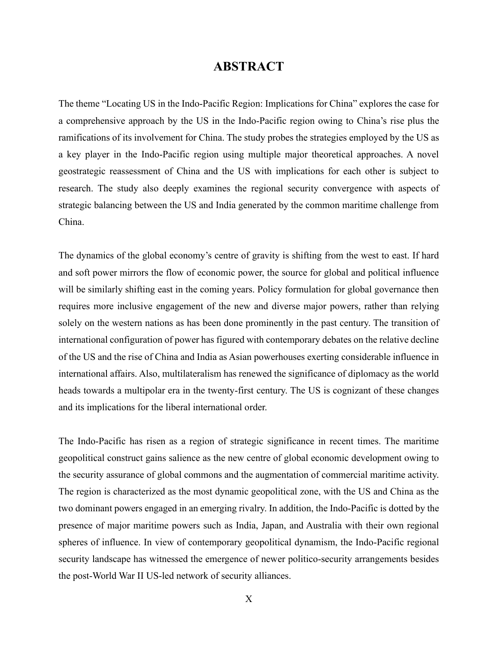#### **ABSTRACT**

The theme "Locating US in the Indo-Pacific Region: Implications for China" explores the case for a comprehensive approach by the US in the Indo-Pacific region owing to China's rise plus the ramifications of its involvement for China. The study probes the strategies employed by the US as a key player in the Indo-Pacific region using multiple major theoretical approaches. A novel geostrategic reassessment of China and the US with implications for each other is subject to research. The study also deeply examines the regional security convergence with aspects of strategic balancing between the US and India generated by the common maritime challenge from China.

The dynamics of the global economy's centre of gravity is shifting from the west to east. If hard and soft power mirrors the flow of economic power, the source for global and political influence will be similarly shifting east in the coming years. Policy formulation for global governance then requires more inclusive engagement of the new and diverse major powers, rather than relying solely on the western nations as has been done prominently in the past century. The transition of international configuration of power has figured with contemporary debates on the relative decline of the US and the rise of China and India as Asian powerhouses exerting considerable influence in international affairs. Also, multilateralism has renewed the significance of diplomacy as the world heads towards a multipolar era in the twenty-first century. The US is cognizant of these changes and its implications for the liberal international order.

The Indo-Pacific has risen as a region of strategic significance in recent times. The maritime geopolitical construct gains salience as the new centre of global economic development owing to the security assurance of global commons and the augmentation of commercial maritime activity. The region is characterized as the most dynamic geopolitical zone, with the US and China as the two dominant powers engaged in an emerging rivalry. In addition, the Indo-Pacific is dotted by the presence of major maritime powers such as India, Japan, and Australia with their own regional spheres of influence. In view of contemporary geopolitical dynamism, the Indo-Pacific regional security landscape has witnessed the emergence of newer politico-security arrangements besides the post-World War II US-led network of security alliances.